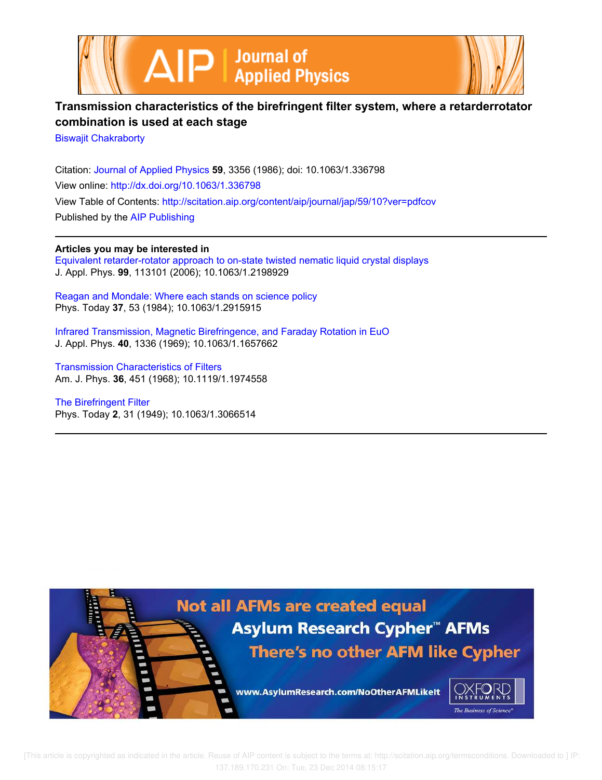



## **Transmission characteristics of the birefringent filter system, where a retarderrotator combination is used at each stage**

Biswajit Chakraborty

Citation: Journal of Applied Physics **59**, 3356 (1986); doi: 10.1063/1.336798 View online: http://dx.doi.org/10.1063/1.336798 View Table of Contents: http://scitation.aip.org/content/aip/journal/jap/59/10?ver=pdfcov Published by the AIP Publishing

**Articles you may be interested in** Equivalent retarder-rotator approach to on-state twisted nematic liquid crystal displays J. Appl. Phys. **99**, 113101 (2006); 10.1063/1.2198929

Reagan and Mondale: Where each stands on science policy Phys. Today **37**, 53 (1984); 10.1063/1.2915915

Infrared Transmission, Magnetic Birefringence, and Faraday Rotation in EuO J. Appl. Phys. **40**, 1336 (1969); 10.1063/1.1657662

Transmission Characteristics of Filters Am. J. Phys. **36**, 451 (1968); 10.1119/1.1974558

The Birefringent Filter Phys. Today **2**, 31 (1949); 10.1063/1.3066514

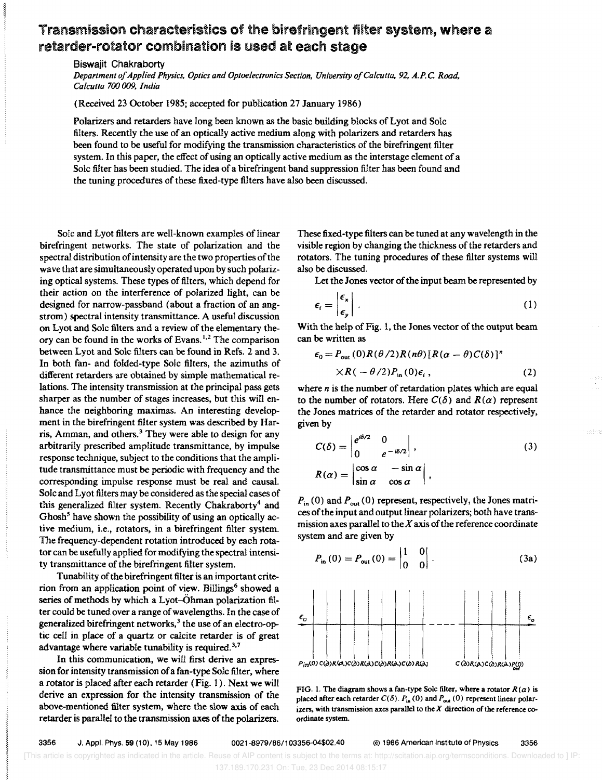## Transmission characteristics of the birefringent filter system, where a retarder-rotator combination is used at each stage

Biswajit Chakraborty

*Department 0/ Applied Physics, Optics and Optoelectronics Section, University o/Calcutta,* 92, *A.P.* C. *Road, Calcutta* 700 009, *India* 

(Received 23 October 1985; accepted. for publication 27 January 1986)

Polarizers and retarders have long been known as the basic building blocks of Lyot and Sale filters. Recently the use of an optically active medium along with polarizers and retarders has been found to be useful for modifying the transmission characteristics of the birefringent filter system. In this paper, the effect of using an optically active medium as the interstage element of a Sale filter has been studied. The idea of a birefringent band suppression filter has been found and the tuning procedures of these fixed-type filters have also been discussed.

Solc and Lyot filters are well-known examples of linear birefringent networks. The state of polarization and the spectral distribution of intensity are the two properties of the wave that are simultaneously operated upon by such polarizing optical systems. These types of filters, which depend for their action on the interference of polarized light, can be designed for narrow-passband (about a fraction of an angstrom) spectral intensity transmittance. A useful discussion on Lyot and Sole filters and a review of the elementary theory can be found in the works of Evans. 1.2 The comparison between Lyot and Sole filters can be found in Refs. 2 and 3. In both fan- and folded-type Solc filters, the azimuths of different retarders are obtained by simple mathematical relations. The intensity transmission at the principal pass gets sharper as the number of stages increases, but this will enhance the neighboring maximas. An interesting development in the birefringent filter system was described by Harris, Amman, and others.<sup>3</sup> They were able to design for any arbitrarily prescribed amplitude transmittance, by impulse response technique, subject to the conditions that the amplitude transmittance must be periodic with frequency and the corresponding impulse response must be real and causal. Sole and Lyot filters may be considered as the special cases of this generalized filter system. Recently Chakraborty<sup>4</sup> and Ghosh<sup>5</sup> have shown the possibility of using an optically active medium, i.e., rotators, in a birefringent filter system. The frequency-dependent rotation introduced by each rotator can be usefully applied for modifying the spectral intensity transmittance of the birefringent filter system.

Tunability of the birefringent fitter is an important criterion from an application point of view. Billings<sup>6</sup> showed a series of methods by which a Lyot-Ohman polarization filter could be tuned over a range of wavelengths. In the case of generalized birefringent networks,<sup>3</sup> the use of an electro-optic cell in place of a quartz or calcite retarder is of great advantage where variable tunability is required.<sup>3,7</sup>

In this communication, we will first derive an expression for intensity transmission of a fan-type Sole filter, where a rotator is placed after each retarder (Fig. 1). Next we will derive an expression for the intensity transmission of the above-mentioned filter system, where the slow axis of each retarder is parallel to the transmission axes of the polarizers.

These fixed-type filters can be tuned at any wavelength in the visible region by changing the thickness of the retarders and rotators. The tuning procedures of these filter systems will also be discussed.

Let the Jones vector of the input beam be represented by

$$
\epsilon_i = \begin{vmatrix} \epsilon_x \\ \epsilon_y \end{vmatrix} . \tag{1}
$$

With the help of Fig. 1, the Jones vector of the output beam can be written as

$$
\epsilon_0 = P_{\text{out}}(0)R(\theta/2)R(n\theta)[R(\alpha - \theta)C(\delta)]^n
$$
  
×R(-\theta/2)P<sub>in</sub>(0)\epsilon<sub>i</sub>, (2)

where *n* is the number of retardation plates which are equal to the number of rotators. Here  $C(\delta)$  and  $R(\alpha)$  represent the Jones matrices of the retarder and rotator respectively, given by

$$
C(\delta) = \begin{vmatrix} e^{i\delta/2} & 0 \\ 0 & e^{-i\delta/2} \end{vmatrix},
$$
  
\n
$$
R(\alpha) = \begin{vmatrix} \cos \alpha & -\sin \alpha \\ \sin \alpha & \cos \alpha \end{vmatrix},
$$
\n(3)

 $P_{in}$  (0) and  $P_{out}$  (0) represent, respectively, the Jones matrices of the input and output linear polarizers; both have transmission axes parallel to the *X* axis of the reference coordinate system and are given by

$$
P_{\text{in}}(0) = P_{\text{out}}(0) = \begin{vmatrix} 1 & 0 \\ 0 & 0 \end{vmatrix}.
$$
 (3a)



FIG. 1. The diagram shows a fan-type Solc filter, where a rotator  $R(\alpha)$  is placed after each retarder  $C(\delta)$ .  $P_{in}(0)$  and  $P_{out}(0)$  represent linear polarizers, with transmission axes parallel to the  $X$  direction of the reference coordinate system.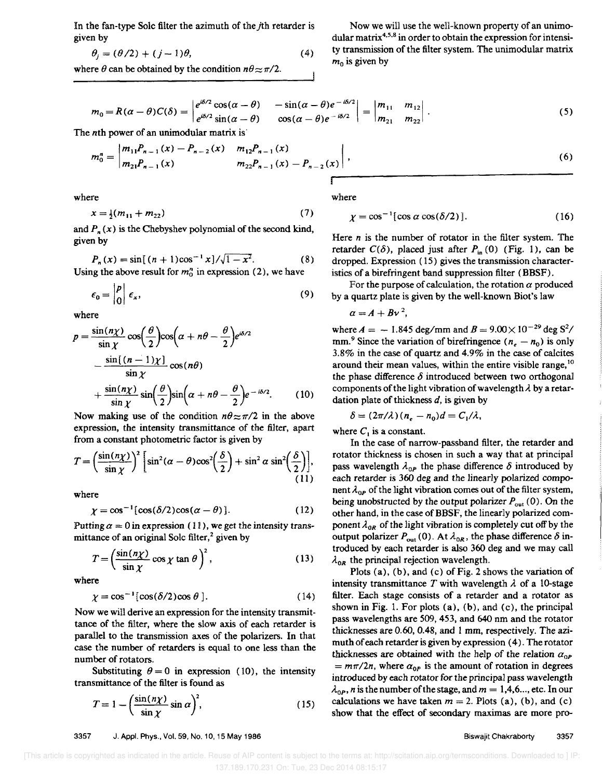In the fan-type Sole filter the azimuth of the jth retarder is given by

$$
\theta_j = (\theta/2) + (j-1)\theta,\tag{4}
$$

where  $\theta$  can be obtained by the condition  $n\theta \approx \pi/2$ .

$$
m_0 = R(\alpha - \theta)C(\delta) = \begin{vmatrix} e^{i\delta/2}\cos(\alpha - \theta) & -\sin(\alpha - \theta)e^{-i\delta/2} \\ e^{i\delta/2}\sin(\alpha - \theta) & \cos(\alpha - \theta)e^{-i\delta/2} \end{vmatrix} = \begin{vmatrix} m_{11} & m_{12} \\ m_{21} & m_{22} \end{vmatrix}.
$$
 (5)

The nth power of an unimodular matrix is'

$$
m_0^n = \left| \frac{m_{11}P_{n-1}(x) - P_{n-2}(x)}{m_{21}P_{n-1}(x)} - \frac{m_{12}P_{n-1}(x)}{m_{22}P_{n-1}(x) - P_{n-2}(x)} \right|,
$$
\n(6)

where

$$
x = \frac{1}{2}(m_{11} + m_{22})
$$
 (7)

and  $P_n(x)$  is the Chebyshev polynomial of the second kind, given by

$$
P_n(x) = \sin[(n+1)\cos^{-1}x]/\sqrt{1-x^2}.
$$
 (8)

Using the above result for  $m_0^n$  in expression (2), we have

$$
\epsilon_0 = \begin{vmatrix} P \\ 0 \end{vmatrix} \epsilon_x, \tag{9}
$$

where

$$
p = \frac{\sin(n\chi)}{\sin \chi} \cos\left(\frac{\theta}{2}\right) \cos\left(\alpha + n\theta - \frac{\theta}{2}\right) e^{i\delta/2}
$$

$$
- \frac{\sin[(n-1)\chi]}{\sin \chi} \cos(n\theta)
$$

$$
+ \frac{\sin(n\chi)}{\sin \chi} \sin\left(\frac{\theta}{2}\right) \sin\left(\alpha + n\theta - \frac{\theta}{2}\right) e^{-i\delta/2}.
$$
(10)

Now making use of the condition  $n\theta \approx \pi/2$  in the above expression, the intensity transmittance of the filter, apart

from a constant photometric factor is given by  
\n
$$
T = \left(\frac{\sin(n\chi)}{\sin\chi}\right)^2 \left[\sin^2(\alpha - \theta)\cos^2(\frac{\delta}{2}) + \sin^2\alpha\sin^2(\frac{\delta}{2})\right],
$$
\n(11)

where

$$
\chi = \cos^{-1}[\cos(\delta/2)\cos(\alpha - \theta)]. \tag{12}
$$

Putting  $\alpha = 0$  in expression (11), we get the intensity transmittance of an original Sole filter,<sup>2</sup> given by

$$
T = \left(\frac{\sin(n\chi)}{\sin\chi}\cos\chi\tan\theta\right)^2,\tag{13}
$$

where

$$
\chi = \cos^{-1}[\cos(\delta/2)\cos\theta].\tag{14}
$$

Now we will derive an expression for the intensity transmittance of the filter, where the slow axis of each retarder is parallel to the transmission axes of the polarizers. In that case the number of retarders is equal to one less than the number of rotators.

Substituting  $\theta = 0$  in expression (10), the intensity transmittance of the filter is found as

$$
T = 1 - \left(\frac{\sin(n\chi)}{\sin\chi}\sin\alpha\right)^2, \tag{15}
$$

3357 J. Appl. Phys., Vol. 59, No.1 0, 15 May 1986

 $m_0$  is given by

where

$$
\chi = \cos^{-1} [\cos \alpha \cos(\delta/2)]. \tag{16}
$$

Now we will use the well-known property of an unimodular matrix<sup>4,5,8</sup> in order to obtain the expression for intensity transmission of the filter system. The unimodular matrix

Here *n* is the number of rotator in the filter system. The retarder  $C(\delta)$ , placed just after  $P_{in} (0)$  (Fig. 1), can be dropped. Expression ( 15) gives the transmission characteristics of a birefringent band suppression filter (BBSF).

For the purpose of calculation, the rotation  $\alpha$  produced by a quartz plate is given by the well-known Biot's law

$$
\alpha = A + Bv^2,
$$

where  $A = -1.845 \text{ deg/mm}$  and  $B = 9.00 \times 10^{-29} \text{ deg } S^2$ / mm.<sup>9</sup> Since the variation of birefringence  $(n_e - n_0)$  is only 3.8% in the case of quartz and 4.9% in the case of calcites around their mean values, within the entire visible range, <sup>10</sup> the phase difference  $\delta$  introduced between two orthogonal components of the light vibration of wavelength  $\lambda$  by a retardation plate of thickness *d,* is given by

$$
\delta = (2\pi/\lambda)(n_e - n_0)d = C_1/\lambda,
$$

where  $C_1$  is a constant.

In the case of narrow-passband filter, the retarder and rotator thickness is chosen in such a way that at principal pass wavelength  $\lambda_{0P}$  the phase difference  $\delta$  introduced by each retarder is 360 deg and the linearly polarized component  $\lambda_{0P}$  of the light vibration comes out of the filter system, being unobstructed by the output polarizer  $P_{out}(0)$ . On the other hand, in the case of BBSF, the linearly polarized component  $\lambda_{0R}$  of the light vibration is completely cut off by the output polarizer  $P_{\text{out}}(0)$ . At  $\lambda_{\text{0R}}$ , the phase difference  $\delta$  introduced by each retarder is also 360 deg and we may call  $\lambda_{OR}$  the principal rejection wavelength.

Plots (a), (b), and (c) of Fig. 2 shows the variation of intensity transmittance  $T$  with wavelength  $\lambda$  of a 10-stage filter. Each stage consists of a retarder and a rotator as shown in Fig. 1. For plots (a), (b), and (c), the principal pass wavelengths are 509, 453, and 640 nm and the rotator thicknesses are 0.60, 0.48, and 1 mm, respectively. The azimuth of each retarder is given by expression (4). The rotator thicknesses are obtained with the help of the relation  $a_{0P}$  $=$   $m\pi/2n$ , where  $\alpha_{0P}$  is the amount of rotation in degrees introduced by each rotator for the principal pass wavelength  $\lambda_{\text{OP}}$ , *n* is the number of the stage, and  $m = 1, 4, 6, \ldots$ , etc. In our calculations we have taken  $m = 2$ . Plots (a), (b), and (c) show that the effect of secondary maximas are more pro-

 [This article is copyrighted as indicated in the article. Reuse of AIP content is subject to the terms at: http://scitation.aip.org/termsconditions. Downloaded to ] IP: 137.189.170.231 On: Tue, 23 Dec 2014 08:15:17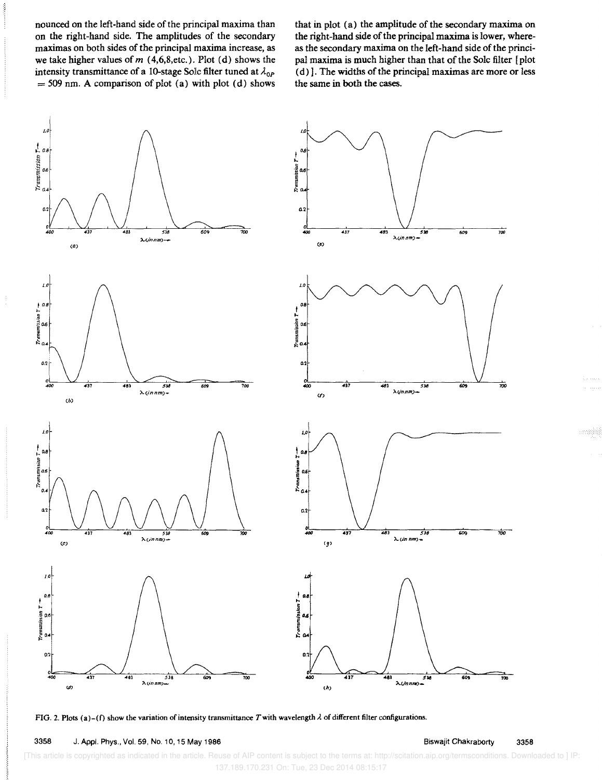nounced on the left-hand side of the principal maxima than on the right-hand side. The amplitudes of the secondary maximas on both sides of the principal maxima increase, as we take higher values of  $m$  (4,6,8,etc.). Plot (d) shows the intensity transmittance of a 10-stage Sole filter tuned at  $\lambda_{OP}$  $=$  509 nm. A comparison of plot (a) with plot (d) shows that in plot (a) the amplitude of the secondary maxima on the right-hand side of the principal maxima is lower, whereas the secondary maxima on the left-hand side of the principal maxima is much higher than that of the Solc filter [plot (d) ]. The widths of the principal maximas are more or less the same in both the cases.



FIG. 2. Plots (a)-(f) show the variation of intensity transmittance T with wavelength  $\lambda$  of different filter configurations.

3358 J. Appl. Phys., Vol. 59, No. 10, 15 May 1986

[This article is copyrighted as indicated in the article. Reuse of AIP content is subject to the terms at: http://scitation.aip.org/termsconditions. Downloaded to ] IP 137.189.170.231 On: Tue, 23 Dec 2014 08:15:17